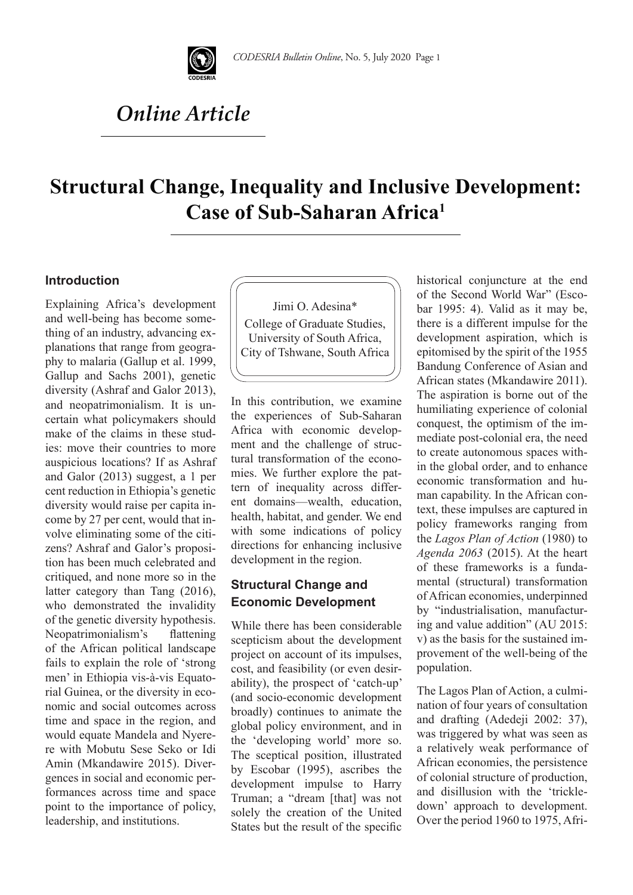

# *Online Article*

## **Structural Change, Inequality and Inclusive Development: Case of Sub-Saharan Africa1**

#### **Introduction**

Explaining Africa's development and well-being has become something of an industry, advancing explanations that range from geography to malaria (Gallup et al. 1999, Gallup and Sachs 2001), genetic diversity (Ashraf and Galor 2013), and neopatrimonialism. It is uncertain what policymakers should make of the claims in these studies: move their countries to more auspicious locations? If as Ashraf and Galor (2013) suggest, a 1 per cent reduction in Ethiopia's genetic diversity would raise per capita income by 27 per cent, would that involve eliminating some of the citizens? Ashraf and Galor's proposition has been much celebrated and critiqued, and none more so in the latter category than Tang (2016), who demonstrated the invalidity of the genetic diversity hypothesis. Neopatrimonialism's flattening of the African political landscape fails to explain the role of 'strong men' in Ethiopia vis-à-vis Equatorial Guinea, or the diversity in economic and social outcomes across time and space in the region, and would equate Mandela and Nyerere with Mobutu Sese Seko or Idi Amin (Mkandawire 2015). Divergences in social and economic performances across time and space point to the importance of policy, leadership, and institutions.

Jimi O. Adesina\* College of Graduate Studies, University of South Africa, City of Tshwane, South Africa

In this contribution, we examine the experiences of Sub-Saharan Africa with economic development and the challenge of structural transformation of the economies. We further explore the pattern of inequality across different domains—wealth, education, health, habitat, and gender. We end with some indications of policy directions for enhancing inclusive development in the region.

### **Structural Change and Economic Development**

While there has been considerable scepticism about the development project on account of its impulses, cost, and feasibility (or even desirability), the prospect of 'catch-up' (and socio-economic development broadly) continues to animate the global policy environment, and in the 'developing world' more so. The sceptical position, illustrated by Escobar (1995), ascribes the development impulse to Harry Truman; a "dream [that] was not solely the creation of the United States but the result of the specific historical conjuncture at the end of the Second World War" (Escobar 1995: 4). Valid as it may be, there is a different impulse for the development aspiration, which is epitomised by the spirit of the 1955 Bandung Conference of Asian and African states (Mkandawire 2011). The aspiration is borne out of the humiliating experience of colonial conquest, the optimism of the immediate post-colonial era, the need to create autonomous spaces within the global order, and to enhance economic transformation and human capability. In the African context, these impulses are captured in policy frameworks ranging from the *Lagos Plan of Action* (1980) to *Agenda 2063* (2015). At the heart of these frameworks is a fundamental (structural) transformation of African economies, underpinned by "industrialisation, manufacturing and value addition" (AU 2015: v) as the basis for the sustained improvement of the well-being of the population.

The Lagos Plan of Action, a culmination of four years of consultation and drafting (Adedeji 2002: 37), was triggered by what was seen as a relatively weak performance of African economies, the persistence of colonial structure of production, and disillusion with the 'trickledown' approach to development. Over the period 1960 to 1975, Afri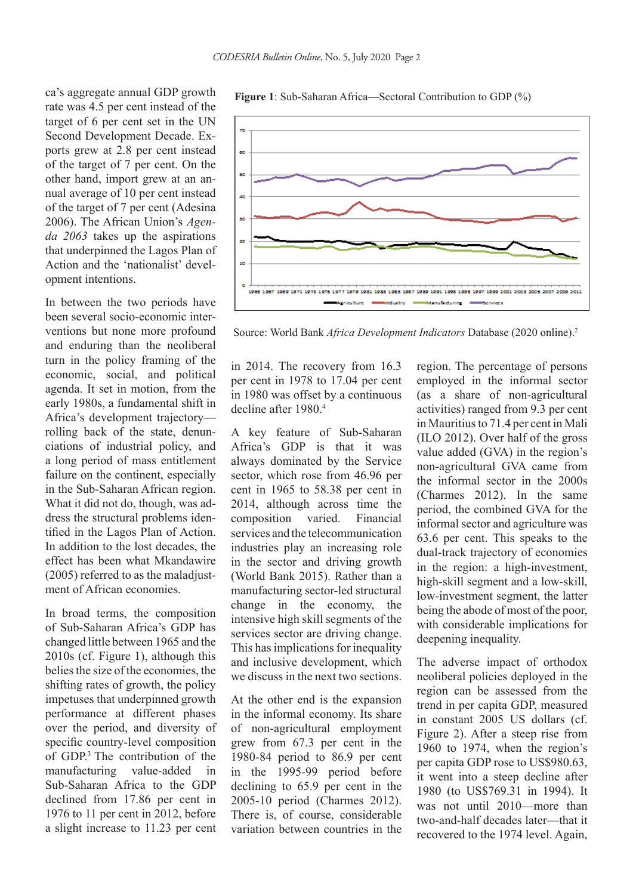ca's aggregate annual GDP growth rate was 4.5 per cent instead of the target of 6 per cent set in the UN Second Development Decade. Exports grew at 2.8 per cent instead of the target of 7 per cent. On the other hand, import grew at an annual average of 10 per cent instead of the target of 7 per cent (Adesina 2006). The African Union's *Agenda 2063* takes up the aspirations that underpinned the Lagos Plan of Action and the 'nationalist' development intentions.

In between the two periods have been several socio-economic interventions but none more profound and enduring than the neoliberal turn in the policy framing of the economic, social, and political agenda. It set in motion, from the early 1980s, a fundamental shift in Africa's development trajectory rolling back of the state, denunciations of industrial policy, and a long period of mass entitlement failure on the continent, especially in the Sub-Saharan African region. What it did not do, though, was address the structural problems identified in the Lagos Plan of Action. In addition to the lost decades, the effect has been what Mkandawire (2005) referred to as the maladjustment of African economies.

In broad terms, the composition of Sub-Saharan Africa's GDP has changed little between 1965 and the 2010s (cf. Figure 1), although this belies the size of the economies, the shifting rates of growth, the policy impetuses that underpinned growth performance at different phases over the period, and diversity of specific country-level composition of GDP.3 The contribution of the manufacturing value-added in Sub-Saharan Africa to the GDP declined from 17.86 per cent in 1976 to 11 per cent in 2012, before a slight increase to 11.23 per cent



**Figure 1**: Sub-Saharan Africa—Sectoral Contribution to GDP (%)

Source: World Bank *Africa Development Indicators* Database (2020 online).2

in 2014. The recovery from 16.3 per cent in 1978 to 17.04 per cent in 1980 was offset by a continuous decline after 1980.4

A key feature of Sub-Saharan Africa's GDP is that it was always dominated by the Service sector, which rose from 46.96 per cent in 1965 to 58.38 per cent in 2014, although across time the composition varied. Financial services and the telecommunication industries play an increasing role in the sector and driving growth (World Bank 2015). Rather than a manufacturing sector-led structural change in the economy, the intensive high skill segments of the services sector are driving change. This has implications for inequality and inclusive development, which we discuss in the next two sections.

At the other end is the expansion in the informal economy. Its share of non-agricultural employment grew from 67.3 per cent in the 1980-84 period to 86.9 per cent in the 1995-99 period before declining to 65.9 per cent in the 2005-10 period (Charmes 2012). There is, of course, considerable variation between countries in the region. The percentage of persons employed in the informal sector (as a share of non-agricultural activities) ranged from 9.3 per cent in Mauritius to 71.4 per cent in Mali (ILO 2012). Over half of the gross value added (GVA) in the region's non-agricultural GVA came from the informal sector in the 2000s (Charmes 2012). In the same period, the combined GVA for the informal sector and agriculture was 63.6 per cent. This speaks to the dual-track trajectory of economies in the region: a high-investment, high-skill segment and a low-skill, low-investment segment, the latter being the abode of most of the poor, with considerable implications for deepening inequality.

The adverse impact of orthodox neoliberal policies deployed in the region can be assessed from the trend in per capita GDP, measured in constant 2005 US dollars (cf. Figure 2). After a steep rise from 1960 to 1974, when the region's per capita GDP rose to US\$980.63, it went into a steep decline after 1980 (to US\$769.31 in 1994). It was not until 2010—more than two-and-half decades later—that it recovered to the 1974 level. Again,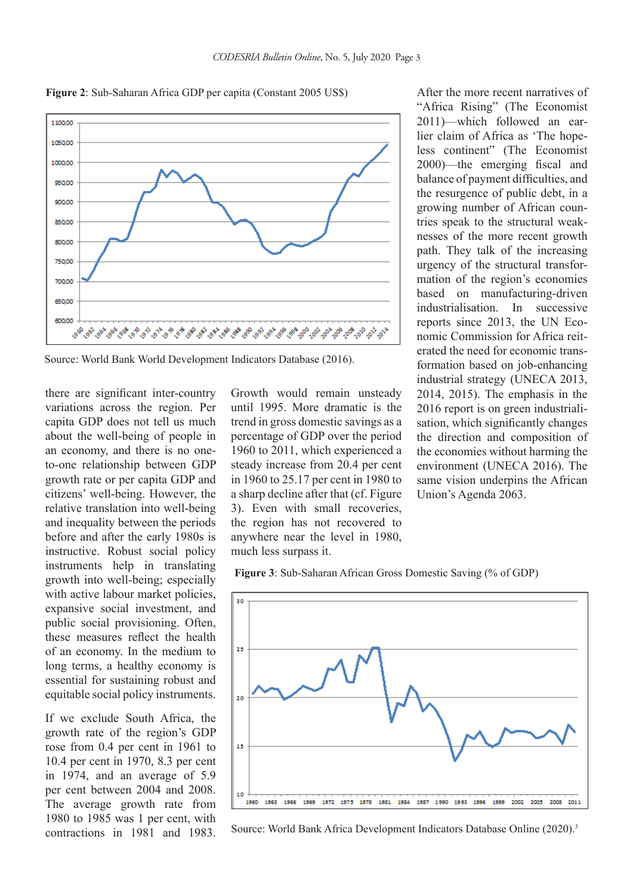

**Figure 2**: Sub-Saharan Africa GDP per capita (Constant 2005 US\$)

Source: World Bank World Development Indicators Database (2016).

there are significant inter-country variations across the region. Per capita GDP does not tell us much about the well-being of people in an economy, and there is no oneto-one relationship between GDP growth rate or per capita GDP and citizens' well-being. However, the relative translation into well-being and inequality between the periods before and after the early 1980s is instructive. Robust social policy instruments help in translating growth into well-being; especially with active labour market policies, expansive social investment, and public social provisioning. Often, these measures reflect the health of an economy. In the medium to long terms, a healthy economy is essential for sustaining robust and equitable social policy instruments.

If we exclude South Africa, the growth rate of the region's GDP rose from 0.4 per cent in 1961 to 10.4 per cent in 1970, 8.3 per cent in 1974, and an average of 5.9 per cent between 2004 and 2008. The average growth rate from 1980 to 1985 was 1 per cent, with contractions in 1981 and 1983. Growth would remain unsteady until 1995. More dramatic is the trend in gross domestic savings as a percentage of GDP over the period 1960 to 2011, which experienced a steady increase from 20.4 per cent in 1960 to 25.17 per cent in 1980 to a sharp decline after that (cf. Figure 3). Even with small recoveries, the region has not recovered to anywhere near the level in 1980, much less surpass it.

After the more recent narratives of "Africa Rising" (The Economist 2011)—which followed an earlier claim of Africa as 'The hopeless continent" (The Economist 2000)—the emerging fiscal and balance of payment difficulties, and the resurgence of public debt, in a growing number of African countries speak to the structural weaknesses of the more recent growth path. They talk of the increasing urgency of the structural transformation of the region's economies based on manufacturing-driven industrialisation. In successive reports since 2013, the UN Economic Commission for Africa reiterated the need for economic transformation based on job-enhancing industrial strategy (UNECA 2013, 2014, 2015). The emphasis in the 2016 report is on green industrialisation, which significantly changes the direction and composition of the economies without harming the environment (UNECA 2016). The same vision underpins the African Union's Agenda 2063.





Source: World Bank Africa Development Indicators Database Online (2020).<sup>5</sup>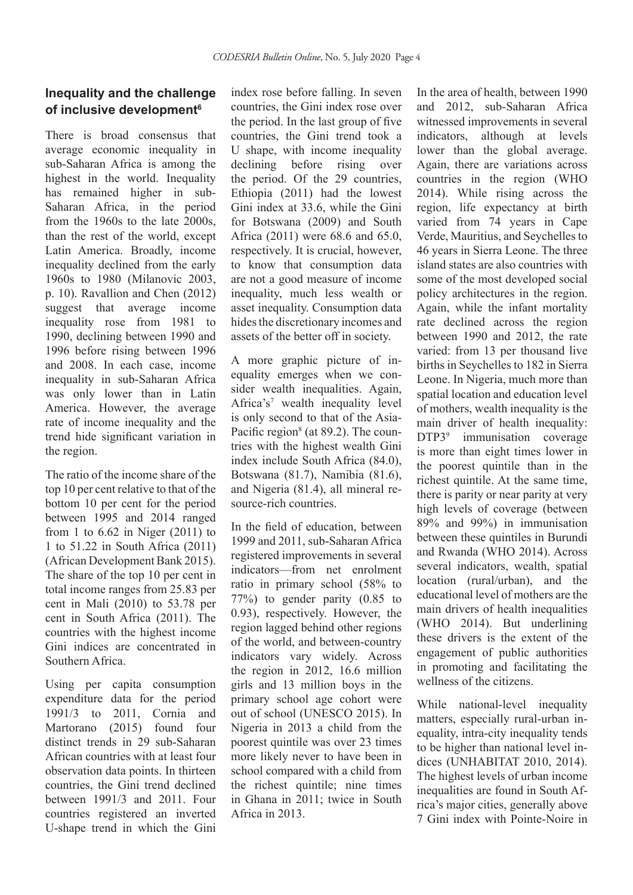## **Inequality and the challenge of inclusive development6**

There is broad consensus that average economic inequality in sub-Saharan Africa is among the highest in the world. Inequality has remained higher in sub-Saharan Africa, in the period from the 1960s to the late 2000s, than the rest of the world, except Latin America. Broadly, income inequality declined from the early 1960s to 1980 (Milanovic 2003, p. 10). Ravallion and Chen (2012) suggest that average income inequality rose from 1981 to 1990, declining between 1990 and 1996 before rising between 1996 and 2008. In each case, income inequality in sub-Saharan Africa was only lower than in Latin America. However, the average rate of income inequality and the trend hide significant variation in the region.

The ratio of the income share of the top 10 per cent relative to that of the bottom 10 per cent for the period between 1995 and 2014 ranged from 1 to 6.62 in Niger (2011) to 1 to 51.22 in South Africa (2011) (African Development Bank 2015). The share of the top 10 per cent in total income ranges from 25.83 per cent in Mali (2010) to 53.78 per cent in South Africa (2011). The countries with the highest income Gini indices are concentrated in Southern Africa.

Using per capita consumption expenditure data for the period 1991/3 to 2011, Cornia and Martorano (2015) found four distinct trends in 29 sub-Saharan African countries with at least four observation data points. In thirteen countries, the Gini trend declined between 1991/3 and 2011. Four countries registered an inverted U-shape trend in which the Gini

index rose before falling. In seven countries, the Gini index rose over the period. In the last group of five countries, the Gini trend took a U shape, with income inequality declining before rising over the period. Of the 29 countries, Ethiopia (2011) had the lowest Gini index at 33.6, while the Gini for Botswana (2009) and South Africa (2011) were 68.6 and 65.0, respectively. It is crucial, however, to know that consumption data are not a good measure of income inequality, much less wealth or asset inequality. Consumption data hides the discretionary incomes and assets of the better off in society.

A more graphic picture of inequality emerges when we consider wealth inequalities. Again, Africa's<sup>7</sup> wealth inequality level is only second to that of the Asia-Pacific region<sup>8</sup> (at 89.2). The countries with the highest wealth Gini index include South Africa (84.0), Botswana (81.7), Namibia (81.6), and Nigeria (81.4), all mineral resource-rich countries.

In the field of education, between 1999 and 2011, sub-Saharan Africa registered improvements in several indicators—from net enrolment ratio in primary school (58% to 77%) to gender parity (0.85 to 0.93), respectively. However, the region lagged behind other regions of the world, and between-country indicators vary widely. Across the region in 2012, 16.6 million girls and 13 million boys in the primary school age cohort were out of school (UNESCO 2015). In Nigeria in 2013 a child from the poorest quintile was over 23 times more likely never to have been in school compared with a child from the richest quintile; nine times in Ghana in 2011; twice in South Africa in 2013.

In the area of health, between 1990 and 2012, sub-Saharan Africa witnessed improvements in several indicators, although at levels lower than the global average. Again, there are variations across countries in the region (WHO 2014). While rising across the region, life expectancy at birth varied from 74 years in Cape Verde, Mauritius, and Seychelles to 46 years in Sierra Leone. The three island states are also countries with some of the most developed social policy architectures in the region. Again, while the infant mortality rate declined across the region between 1990 and 2012, the rate varied: from 13 per thousand live births in Seychelles to 182 in Sierra Leone. In Nigeria, much more than spatial location and education level of mothers, wealth inequality is the main driver of health inequality: DTP39 immunisation coverage is more than eight times lower in the poorest quintile than in the richest quintile. At the same time, there is parity or near parity at very high levels of coverage (between 89% and 99%) in immunisation between these quintiles in Burundi and Rwanda (WHO 2014). Across several indicators, wealth, spatial location (rural/urban), and the educational level of mothers are the main drivers of health inequalities (WHO 2014). But underlining these drivers is the extent of the engagement of public authorities in promoting and facilitating the wellness of the citizens.

While national-level inequality matters, especially rural-urban inequality, intra-city inequality tends to be higher than national level indices (UNHABITAT 2010, 2014). The highest levels of urban income inequalities are found in South Africa's major cities, generally above 7 Gini index with Pointe-Noire in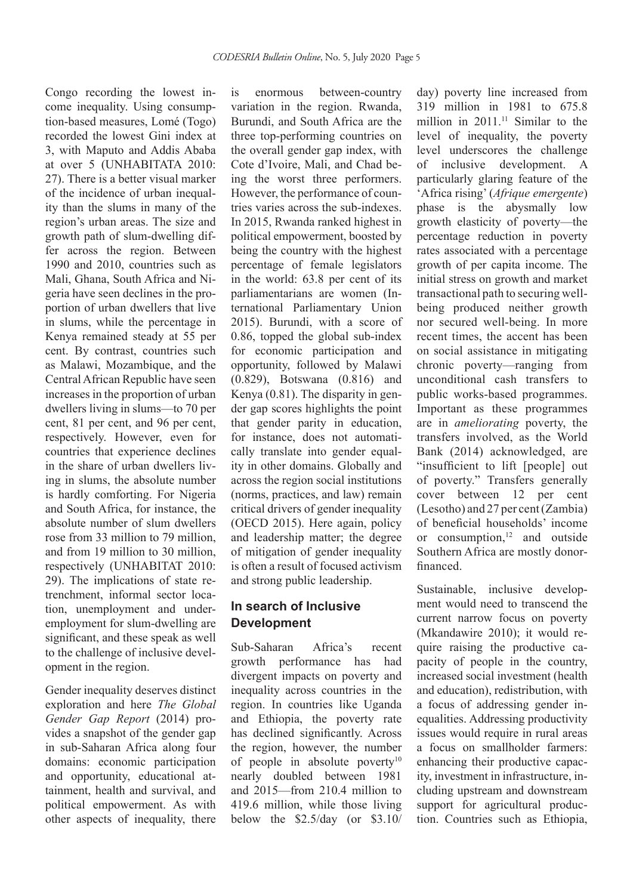Congo recording the lowest income inequality. Using consumption-based measures, Lomé (Togo) recorded the lowest Gini index at 3, with Maputo and Addis Ababa at over 5 (UNHABITATA 2010: 27). There is a better visual marker of the incidence of urban inequality than the slums in many of the region's urban areas. The size and growth path of slum-dwelling differ across the region. Between 1990 and 2010, countries such as Mali, Ghana, South Africa and Nigeria have seen declines in the proportion of urban dwellers that live in slums, while the percentage in Kenya remained steady at 55 per cent. By contrast, countries such as Malawi, Mozambique, and the Central African Republic have seen increases in the proportion of urban dwellers living in slums—to 70 per cent, 81 per cent, and 96 per cent, respectively. However, even for countries that experience declines in the share of urban dwellers living in slums, the absolute number is hardly comforting. For Nigeria and South Africa, for instance, the absolute number of slum dwellers rose from 33 million to 79 million and from 19 million to 30 million, respectively (UNHABITAT 2010: 29). The implications of state retrenchment, informal sector location, unemployment and underemployment for slum-dwelling are significant, and these speak as well to the challenge of inclusive development in the region.

Gender inequality deserves distinct exploration and here *The Global Gender Gap Report* (2014) provides a snapshot of the gender gap in sub-Saharan Africa along four domains: economic participation and opportunity, educational attainment, health and survival, and political empowerment. As with other aspects of inequality, there

is enormous between-country variation in the region. Rwanda, Burundi, and South Africa are the three top-performing countries on the overall gender gap index, with Cote d'Ivoire, Mali, and Chad being the worst three performers. However, the performance of countries varies across the sub-indexes. In 2015, Rwanda ranked highest in political empowerment, boosted by being the country with the highest percentage of female legislators in the world: 63.8 per cent of its parliamentarians are women (International Parliamentary Union 2015). Burundi, with a score of 0.86, topped the global sub-index for economic participation and opportunity, followed by Malawi (0.829), Botswana (0.816) and Kenya (0.81). The disparity in gender gap scores highlights the point that gender parity in education, for instance, does not automatically translate into gender equality in other domains. Globally and across the region social institutions (norms, practices, and law) remain critical drivers of gender inequality (OECD 2015). Here again, policy and leadership matter; the degree of mitigation of gender inequality is often a result of focused activism and strong public leadership.

## **In search of Inclusive Development**

Sub-Saharan Africa's recent growth performance has had divergent impacts on poverty and inequality across countries in the region. In countries like Uganda and Ethiopia, the poverty rate has declined significantly. Across the region, however, the number of people in absolute poverty<sup>10</sup> nearly doubled between 1981 and 2015—from 210.4 million to 419.6 million, while those living below the \$2.5/day (or \$3.10/ day) poverty line increased from 319 million in 1981 to 675.8 million in  $2011$ .<sup>11</sup> Similar to the level of inequality, the poverty level underscores the challenge of inclusive development. A particularly glaring feature of the 'Africa rising' (*Afrique emergente*) phase is the abysmally low growth elasticity of poverty—the percentage reduction in poverty rates associated with a percentage growth of per capita income. The initial stress on growth and market transactional path to securing wellbeing produced neither growth nor secured well-being. In more recent times, the accent has been on social assistance in mitigating chronic poverty—ranging from unconditional cash transfers to public works-based programmes. Important as these programmes are in *ameliorating* poverty, the transfers involved, as the World Bank (2014) acknowledged, are "insufficient to lift [people] out of poverty." Transfers generally cover between 12 per cent (Lesotho) and 27 per cent (Zambia) of beneficial households' income or consumption, $12$  and outside Southern Africa are mostly donorfinanced.

Sustainable, inclusive development would need to transcend the current narrow focus on poverty (Mkandawire 2010); it would require raising the productive capacity of people in the country, increased social investment (health and education), redistribution, with a focus of addressing gender inequalities. Addressing productivity issues would require in rural areas a focus on smallholder farmers: enhancing their productive capacity, investment in infrastructure, including upstream and downstream support for agricultural production. Countries such as Ethiopia,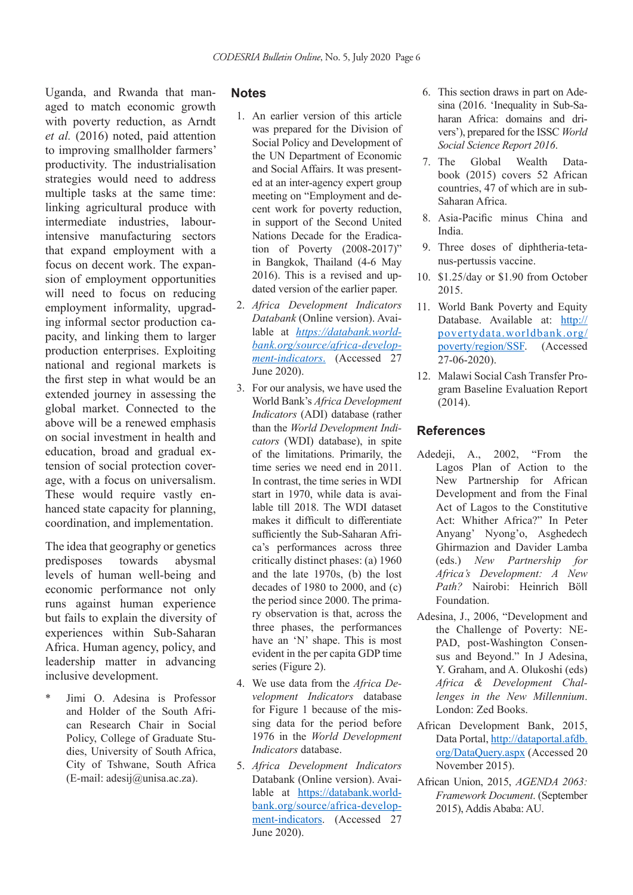Uganda, and Rwanda that managed to match economic growth with poverty reduction, as Arndt *et al.* (2016) noted, paid attention to improving smallholder farmers' productivity. The industrialisation strategies would need to address multiple tasks at the same time: linking agricultural produce with intermediate industries, labourintensive manufacturing sectors that expand employment with a focus on decent work. The expansion of employment opportunities will need to focus on reducing employment informality, upgrading informal sector production capacity, and linking them to larger production enterprises. Exploiting national and regional markets is the first step in what would be an extended journey in assessing the global market. Connected to the above will be a renewed emphasis on social investment in health and education, broad and gradual extension of social protection coverage, with a focus on universalism. These would require vastly enhanced state capacity for planning, coordination, and implementation.

The idea that geography or genetics predisposes towards abysmal levels of human well-being and economic performance not only runs against human experience but fails to explain the diversity of experiences within Sub-Saharan Africa. Human agency, policy, and leadership matter in advancing inclusive development.

\* Jimi O. Adesina is Professor and Holder of the South African Research Chair in Social Policy, College of Graduate Studies, University of South Africa, City of Tshwane, South Africa (E-mail: adesij@unisa.ac.za).

#### **Notes**

- 1. An earlier version of this article was prepared for the Division of Social Policy and Development of the UN Department of Economic and Social Affairs. It was presented at an inter-agency expert group meeting on "Employment and decent work for poverty reduction, in support of the Second United Nations Decade for the Eradication of Poverty (2008-2017)" in Bangkok, Thailand (4-6 May 2016). This is a revised and updated version of the earlier paper.
- 2. *Africa Development Indicators Databank* (Online version). Available at *https://databank.worldbank.org/source/africa-development-indicators*. (Accessed 27 June 2020).
- 3. For our analysis, we have used the World Bank's *Africa Development Indicators* (ADI) database (rather than the *World Development Indicators* (WDI) database), in spite of the limitations. Primarily, the time series we need end in 2011. In contrast, the time series in WDI start in 1970, while data is available till 2018. The WDI dataset makes it difficult to differentiate sufficiently the Sub-Saharan Africa's performances across three critically distinct phases: (a) 1960 and the late 1970s, (b) the lost decades of 1980 to 2000, and (c) the period since 2000. The primary observation is that, across the three phases, the performances have an 'N' shape. This is most evident in the per capita GDP time series (Figure 2).
- 4. We use data from the *Africa Development Indicators* database for Figure 1 because of the missing data for the period before 1976 in the *World Development Indicators* database.
- 5. *Africa Development Indicators* Databank (Online version). Available at https://databank.worldbank.org/source/africa-development-indicators. (Accessed 27 June 2020).
- 6. This section draws in part on Adesina (2016. 'Inequality in Sub-Saharan Africa: domains and drivers'), prepared for the ISSC *World Social Science Report 2016*.
- 7. The Global Wealth Databook (2015) covers 52 African countries, 47 of which are in sub-Saharan Africa.
- 8. Asia-Pacific minus China and India.
- 9. Three doses of diphtheria-tetanus-pertussis vaccine.
- 10. \$1.25/day or \$1.90 from October 2015.
- 11. World Bank Poverty and Equity Database. Available at: http:// povertydata.worldbank.org/ poverty/region/SSF. (Accessed 27-06-2020).
- 12. Malawi Social Cash Transfer Program Baseline Evaluation Report  $(2014)$ .

#### **References**

- Adedeji, A., 2002, "From the Lagos Plan of Action to the New Partnership for African Development and from the Final Act of Lagos to the Constitutive Act: Whither Africa?" In Peter Anyang' Nyong'o, Asghedech Ghirmazion and Davider Lamba (eds.) *New Partnership for Africa's Development: A New Path?* Nairobi: Heinrich Böll Foundation.
- Adesina, J., 2006, "Development and the Challenge of Poverty: NE-PAD, post-Washington Consensus and Beyond." In J Adesina, Y. Graham, and A. Olukoshi (eds) *Africa & Development Challenges in the New Millennium*. London: Zed Books.
- African Development Bank, 2015, Data Portal, http://dataportal.afdb. org/DataQuery.aspx (Accessed 20 November 2015).
- African Union, 2015, *AGENDA 2063: Framework Document*. (September 2015), Addis Ababa: AU.